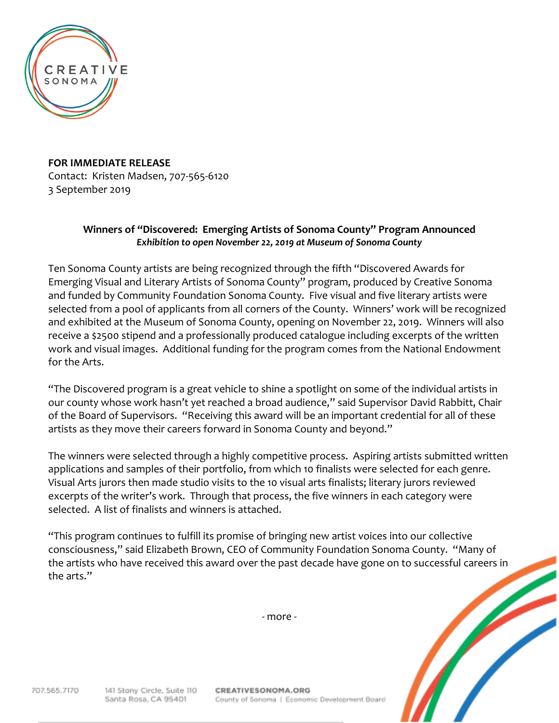

**FOR IMMEDIATE RELEASE** Contact: Kristen Madsen, 707-565-6120 3 September 2019

## **Winners of "Discovered: Emerging Artists of Sonoma County" Program Announced** *Exhibition to open November 22, 2019 at Museum of Sonoma County*

Ten Sonoma County artists are being recognized through the fifth "Discovered Awards for Emerging Visual and Literary Artists of Sonoma County" program, produced by Creative Sonoma and funded by Community Foundation Sonoma County. Five visual and five literary artists were selected from a pool of applicants from all corners of the County. Winners' work will be recognized and exhibited at the Museum of Sonoma County, opening on November 22, 2019. Winners will also receive a \$2500 stipend and a professionally produced catalogue including excerpts of the written work and visual images. Additional funding for the program comes from the National Endowment for the Arts.

"The Discovered program is a great vehicle to shine a spotlight on some of the individual artists in our county whose work hasn't yet reached a broad audience," said Supervisor David Rabbitt, Chair of the Board of Supervisors. "Receiving this award will be an important credential for all of these artists as they move their careers forward in Sonoma County and beyond."

The winners were selected through a highly competitive process. Aspiring artists submitted written applications and samples of their portfolio, from which 10 finalists were selected for each genre. Visual Arts jurors then made studio visits to the 10 visual arts finalists; literary jurors reviewed excerpts of the writer's work. Through that process, the five winners in each category were selected. A list of finalists and winners is attached.

"This program continues to fulfill its promise of bringing new artist voices into our collective consciousness," said Elizabeth Brown, CEO of Community Foundation Sonoma County. "Many of the artists who have received this award over the past decade have gone on to successful careers in the arts."

- more -

707.565.7170

CREATIVESONOMA.ORG County of Sonoma | Economic Development Board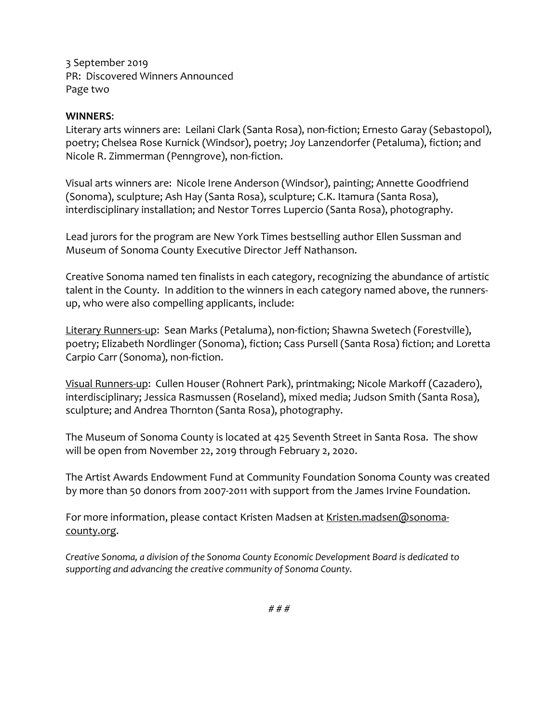3 September 2019 PR: Discovered Winners Announced Page two

## **WINNERS**:

Literary arts winners are: Leilani Clark (Santa Rosa), non-fiction; Ernesto Garay (Sebastopol), poetry; Chelsea Rose Kurnick (Windsor), poetry; Joy Lanzendorfer (Petaluma), fiction; and Nicole R. Zimmerman (Penngrove), non-fiction.

Visual arts winners are: Nicole Irene Anderson (Windsor), painting; Annette Goodfriend (Sonoma), sculpture; Ash Hay (Santa Rosa), sculpture; C.K. Itamura (Santa Rosa), interdisciplinary installation; and Nestor Torres Lupercio (Santa Rosa), photography.

Lead jurors for the program are New York Times bestselling author Ellen Sussman and Museum of Sonoma County Executive Director Jeff Nathanson.

Creative Sonoma named ten finalists in each category, recognizing the abundance of artistic talent in the County. In addition to the winners in each category named above, the runnersup, who were also compelling applicants, include:

Literary Runners-up: Sean Marks (Petaluma), non-fiction; Shawna Swetech (Forestville), poetry; Elizabeth Nordlinger (Sonoma), fiction; Cass Pursell (Santa Rosa) fiction; and Loretta Carpio Carr (Sonoma), non-fiction.

Visual Runners-up: Cullen Houser (Rohnert Park), printmaking; Nicole Markoff (Cazadero), interdisciplinary; Jessica Rasmussen (Roseland), mixed media; Judson Smith (Santa Rosa), sculpture; and Andrea Thornton (Santa Rosa), photography.

The Museum of Sonoma County is located at 425 Seventh Street in Santa Rosa. The show will be open from November 22, 2019 through February 2, 2020.

The Artist Awards Endowment Fund at Community Foundation Sonoma County was created by more than 50 donors from 2007-2011 with support from the James Irvine Foundation.

For more information, please contact Kristen Madsen at [Kristen.madsen@sonoma](mailto:Kristen.madsen@sonoma-county.org)[county.org.](mailto:Kristen.madsen@sonoma-county.org)

*Creative Sonoma, a division of the Sonoma County Economic Development Board is dedicated to supporting and advancing the creative community of Sonoma County.*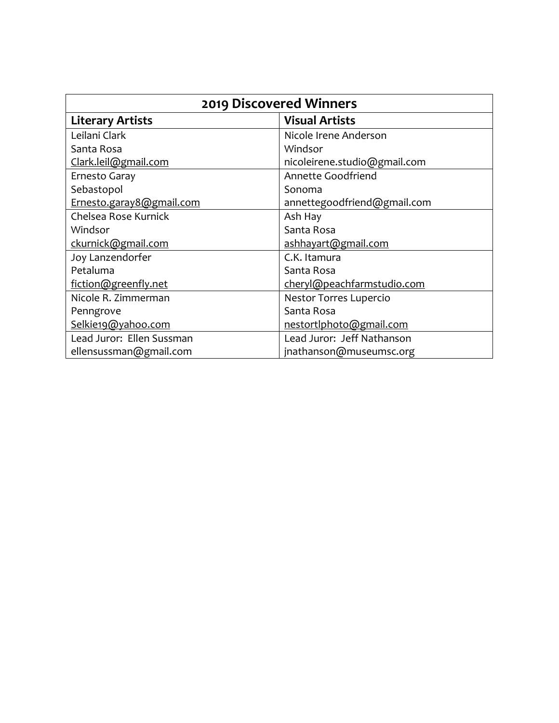| <b>2019 Discovered Winners</b> |                              |
|--------------------------------|------------------------------|
| <b>Literary Artists</b>        | <b>Visual Artists</b>        |
| Leilani Clark                  | Nicole Irene Anderson        |
| Santa Rosa                     | Windsor                      |
| Clark.leil@gmail.com           | nicoleirene.studio@gmail.com |
| Ernesto Garay                  | Annette Goodfriend           |
| Sebastopol                     | Sonoma                       |
| Ernesto.garay8@gmail.com       | annettegoodfriend@gmail.com  |
| Chelsea Rose Kurnick           | Ash Hay                      |
| Windsor                        | Santa Rosa                   |
| ckurnick@gmail.com             | ashhayart@gmail.com          |
| Joy Lanzendorfer               | C.K. Itamura                 |
| Petaluma                       | Santa Rosa                   |
| fiction@greenfly.net           | cheryl@peachfarmstudio.com   |
| Nicole R. Zimmerman            | Nestor Torres Lupercio       |
| Penngrove                      | Santa Rosa                   |
| Selkie19@yahoo.com             | nestortlphoto@gmail.com      |
| Lead Juror: Ellen Sussman      | Lead Juror: Jeff Nathanson   |
| ellensussman@gmail.com         | jnathanson@museumsc.org      |